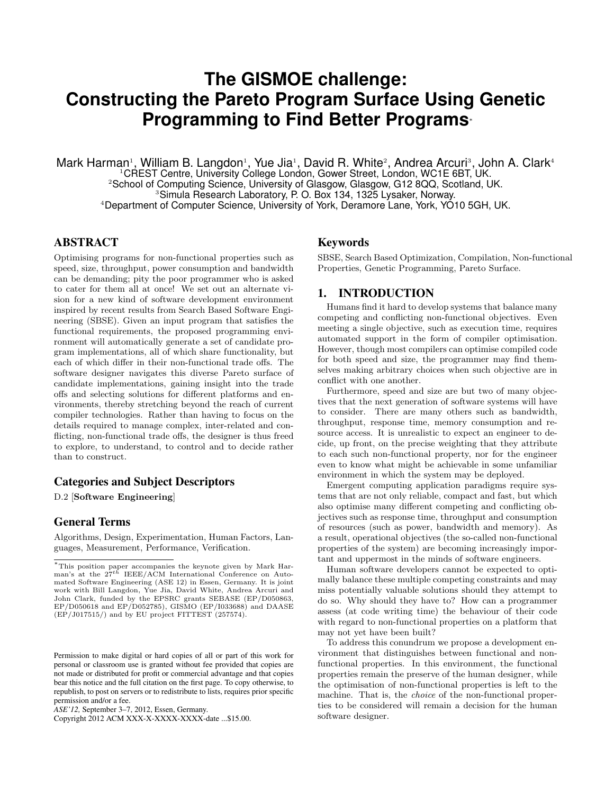# **The GISMOE challenge: Constructing the Pareto Program Surface Using Genetic Programming to Find Better Programs**<sup>∗</sup>

Mark Harman<sup>1</sup>, William B. Langdon<sup>1</sup>, Yue Jia<sup>1</sup>, David R. White<sup>2</sup>, Andrea Arcuri<sup>3</sup>, John A. Clark<sup>4</sup> <sup>1</sup>CREST Centre, University College London, Gower Street, London, WC1E 6BT, UK. <sup>2</sup>School of Computing Science, University of Glasgow, Glasgow, G12 8QQ, Scotland, UK. <sup>3</sup>Simula Research Laboratory, P. O. Box 134, 1325 Lysaker, Norway. <sup>4</sup>Department of Computer Science, University of York, Deramore Lane, York, YO10 5GH, UK.

# ABSTRACT

Optimising programs for non-functional properties such as speed, size, throughput, power consumption and bandwidth can be demanding; pity the poor programmer who is asked to cater for them all at once! We set out an alternate vision for a new kind of software development environment inspired by recent results from Search Based Software Engineering (SBSE). Given an input program that satisfies the functional requirements, the proposed programming environment will automatically generate a set of candidate program implementations, all of which share functionality, but each of which differ in their non-functional trade offs. The software designer navigates this diverse Pareto surface of candidate implementations, gaining insight into the trade offs and selecting solutions for different platforms and environments, thereby stretching beyond the reach of current compiler technologies. Rather than having to focus on the details required to manage complex, inter-related and conflicting, non-functional trade offs, the designer is thus freed to explore, to understand, to control and to decide rather than to construct.

# Categories and Subject Descriptors

D.2 [Software Engineering]

#### General Terms

Algorithms, Design, Experimentation, Human Factors, Languages, Measurement, Performance, Verification.

Copyright 2012 ACM XXX-X-XXXX-XXXX-date ...\$15.00.

# Keywords

SBSE, Search Based Optimization, Compilation, Non-functional Properties, Genetic Programming, Pareto Surface.

### 1. INTRODUCTION

Humans find it hard to develop systems that balance many competing and conflicting non-functional objectives. Even meeting a single objective, such as execution time, requires automated support in the form of compiler optimisation. However, though most compilers can optimise compiled code for both speed and size, the programmer may find themselves making arbitrary choices when such objective are in conflict with one another.

Furthermore, speed and size are but two of many objectives that the next generation of software systems will have to consider. There are many others such as bandwidth, throughput, response time, memory consumption and resource access. It is unrealistic to expect an engineer to decide, up front, on the precise weighting that they attribute to each such non-functional property, nor for the engineer even to know what might be achievable in some unfamiliar environment in which the system may be deployed.

Emergent computing application paradigms require systems that are not only reliable, compact and fast, but which also optimise many different competing and conflicting objectives such as response time, throughput and consumption of resources (such as power, bandwidth and memory). As a result, operational objectives (the so-called non-functional properties of the system) are becoming increasingly important and uppermost in the minds of software engineers.

Human software developers cannot be expected to optimally balance these multiple competing constraints and may miss potentially valuable solutions should they attempt to do so. Why should they have to? How can a programmer assess (at code writing time) the behaviour of their code with regard to non-functional properties on a platform that may not yet have been built?

To address this conundrum we propose a development environment that distinguishes between functional and nonfunctional properties. In this environment, the functional properties remain the preserve of the human designer, while the optimisation of non-functional properties is left to the machine. That is, the choice of the non-functional properties to be considered will remain a decision for the human software designer.

<sup>&</sup>lt;sup>\*</sup>This position paper accompanies the keynote given by Mark Har-<br>man's at the  $27^{th}$  IEEE/ACM International Conference on Automated Software Engineering (ASE 12) in Essen, Germany. It is joint work with Bill Langdon, Yue Jia, David White, Andrea Arcuri and John Clark, funded by the EPSRC grants SEBASE (EP/D050863, EP/D050618 and EP/D052785), GISMO (EP/I033688) and DAASE (EP/J017515/) and by EU project FITTEST (257574).

Permission to make digital or hard copies of all or part of this work for personal or classroom use is granted without fee provided that copies are not made or distributed for profit or commercial advantage and that copies bear this notice and the full citation on the first page. To copy otherwise, to republish, to post on servers or to redistribute to lists, requires prior specific permission and/or a fee.

*ASE'12,* September 3–7, 2012, Essen, Germany.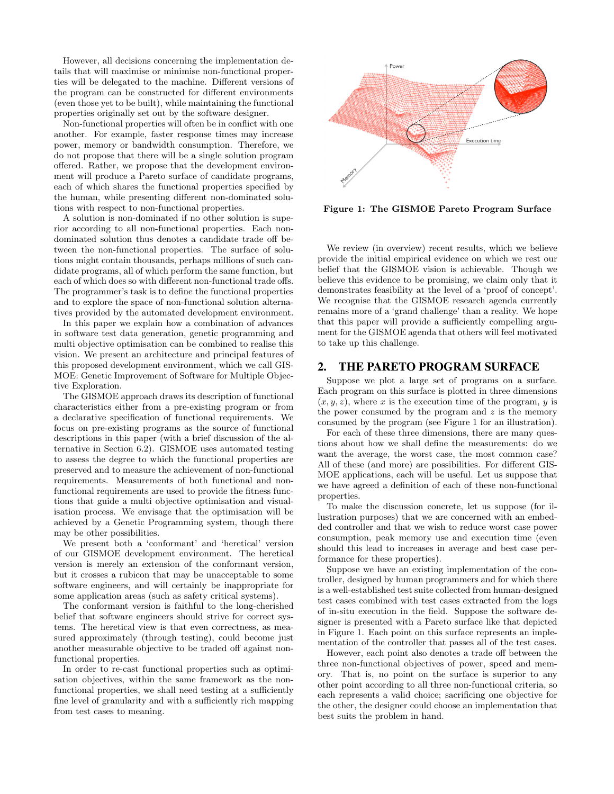However, all decisions concerning the implementation details that will maximise or minimise non-functional properties will be delegated to the machine. Different versions of the program can be constructed for different environments (even those yet to be built), while maintaining the functional properties originally set out by the software designer.

Non-functional properties will often be in conflict with one another. For example, faster response times may increase power, memory or bandwidth consumption. Therefore, we do not propose that there will be a single solution program offered. Rather, we propose that the development environment will produce a Pareto surface of candidate programs, each of which shares the functional properties specified by the human, while presenting different non-dominated solutions with respect to non-functional properties.

A solution is non-dominated if no other solution is superior according to all non-functional properties. Each nondominated solution thus denotes a candidate trade off between the non-functional properties. The surface of solutions might contain thousands, perhaps millions of such candidate programs, all of which perform the same function, but each of which does so with different non-functional trade offs. The programmer's task is to define the functional properties and to explore the space of non-functional solution alternatives provided by the automated development environment.

In this paper we explain how a combination of advances in software test data generation, genetic programming and multi objective optimisation can be combined to realise this vision. We present an architecture and principal features of this proposed development environment, which we call GIS-MOE: Genetic Improvement of Software for Multiple Objective Exploration.

The GISMOE approach draws its description of functional characteristics either from a pre-existing program or from a declarative specification of functional requirements. We focus on pre-existing programs as the source of functional descriptions in this paper (with a brief discussion of the alternative in Section 6.2). GISMOE uses automated testing to assess the degree to which the functional properties are preserved and to measure the achievement of non-functional requirements. Measurements of both functional and nonfunctional requirements are used to provide the fitness functions that guide a multi objective optimisation and visualisation process. We envisage that the optimisation will be achieved by a Genetic Programming system, though there may be other possibilities.

We present both a 'conformant' and 'heretical' version of our GISMOE development environment. The heretical version is merely an extension of the conformant version, but it crosses a rubicon that may be unacceptable to some software engineers, and will certainly be inappropriate for some application areas (such as safety critical systems).

The conformant version is faithful to the long-cherished belief that software engineers should strive for correct systems. The heretical view is that even correctness, as measured approximately (through testing), could become just another measurable objective to be traded off against nonfunctional properties.

In order to re-cast functional properties such as optimisation objectives, within the same framework as the nonfunctional properties, we shall need testing at a sufficiently fine level of granularity and with a sufficiently rich mapping from test cases to meaning.



Figure 1: The GISMOE Pareto Program Surface

We review (in overview) recent results, which we believe provide the initial empirical evidence on which we rest our belief that the GISMOE vision is achievable. Though we believe this evidence to be promising, we claim only that it demonstrates feasibility at the level of a 'proof of concept'. We recognise that the GISMOE research agenda currently remains more of a 'grand challenge' than a reality. We hope that this paper will provide a sufficiently compelling argument for the GISMOE agenda that others will feel motivated to take up this challenge.

#### 2. THE PARETO PROGRAM SURFACE

Suppose we plot a large set of programs on a surface. Each program on this surface is plotted in three dimensions  $(x, y, z)$ , where x is the execution time of the program, y is the power consumed by the program and  $z$  is the memory consumed by the program (see Figure 1 for an illustration).

For each of these three dimensions, there are many questions about how we shall define the measurements: do we want the average, the worst case, the most common case? All of these (and more) are possibilities. For different GIS-MOE applications, each will be useful. Let us suppose that we have agreed a definition of each of these non-functional properties.

To make the discussion concrete, let us suppose (for illustration purposes) that we are concerned with an embedded controller and that we wish to reduce worst case power consumption, peak memory use and execution time (even should this lead to increases in average and best case performance for these properties).

Suppose we have an existing implementation of the controller, designed by human programmers and for which there is a well-established test suite collected from human-designed test cases combined with test cases extracted from the logs of in-situ execution in the field. Suppose the software designer is presented with a Pareto surface like that depicted in Figure 1. Each point on this surface represents an implementation of the controller that passes all of the test cases.

However, each point also denotes a trade off between the three non-functional objectives of power, speed and memory. That is, no point on the surface is superior to any other point according to all three non-functional criteria, so each represents a valid choice; sacrificing one objective for the other, the designer could choose an implementation that best suits the problem in hand.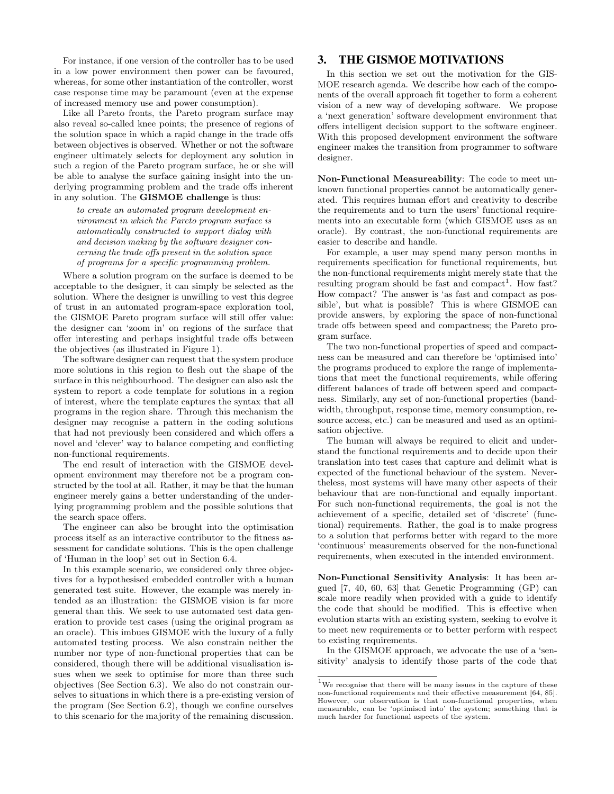For instance, if one version of the controller has to be used in a low power environment then power can be favoured, whereas, for some other instantiation of the controller, worst case response time may be paramount (even at the expense of increased memory use and power consumption).

Like all Pareto fronts, the Pareto program surface may also reveal so-called knee points; the presence of regions of the solution space in which a rapid change in the trade offs between objectives is observed. Whether or not the software engineer ultimately selects for deployment any solution in such a region of the Pareto program surface, he or she will be able to analyse the surface gaining insight into the underlying programming problem and the trade offs inherent in any solution. The GISMOE challenge is thus:

to create an automated program development environment in which the Pareto program surface is automatically constructed to support dialog with and decision making by the software designer concerning the trade offs present in the solution space of programs for a specific programming problem.

Where a solution program on the surface is deemed to be acceptable to the designer, it can simply be selected as the solution. Where the designer is unwilling to vest this degree of trust in an automated program-space exploration tool, the GISMOE Pareto program surface will still offer value: the designer can 'zoom in' on regions of the surface that offer interesting and perhaps insightful trade offs between the objectives (as illustrated in Figure 1).

The software designer can request that the system produce more solutions in this region to flesh out the shape of the surface in this neighbourhood. The designer can also ask the system to report a code template for solutions in a region of interest, where the template captures the syntax that all programs in the region share. Through this mechanism the designer may recognise a pattern in the coding solutions that had not previously been considered and which offers a novel and 'clever' way to balance competing and conflicting non-functional requirements.

The end result of interaction with the GISMOE development environment may therefore not be a program constructed by the tool at all. Rather, it may be that the human engineer merely gains a better understanding of the underlying programming problem and the possible solutions that the search space offers.

The engineer can also be brought into the optimisation process itself as an interactive contributor to the fitness assessment for candidate solutions. This is the open challenge of 'Human in the loop' set out in Section 6.4.

In this example scenario, we considered only three objectives for a hypothesised embedded controller with a human generated test suite. However, the example was merely intended as an illustration: the GISMOE vision is far more general than this. We seek to use automated test data generation to provide test cases (using the original program as an oracle). This imbues GISMOE with the luxury of a fully automated testing process. We also constrain neither the number nor type of non-functional properties that can be considered, though there will be additional visualisation issues when we seek to optimise for more than three such objectives (See Section 6.3). We also do not constrain ourselves to situations in which there is a pre-existing version of the program (See Section 6.2), though we confine ourselves to this scenario for the majority of the remaining discussion.

# 3. THE GISMOE MOTIVATIONS

In this section we set out the motivation for the GIS-MOE research agenda. We describe how each of the components of the overall approach fit together to form a coherent vision of a new way of developing software. We propose a 'next generation' software development environment that offers intelligent decision support to the software engineer. With this proposed development environment the software engineer makes the transition from programmer to software designer.

Non-Functional Measureability: The code to meet unknown functional properties cannot be automatically generated. This requires human effort and creativity to describe the requirements and to turn the users' functional requirements into an executable form (which GISMOE uses as an oracle). By contrast, the non-functional requirements are easier to describe and handle.

For example, a user may spend many person months in requirements specification for functional requirements, but the non-functional requirements might merely state that the resulting program should be fast and  $compact<sup>1</sup>$ . How fast? How compact? The answer is 'as fast and compact as possible', but what is possible? This is where GISMOE can provide answers, by exploring the space of non-functional trade offs between speed and compactness; the Pareto program surface.

The two non-functional properties of speed and compactness can be measured and can therefore be 'optimised into' the programs produced to explore the range of implementations that meet the functional requirements, while offering different balances of trade off between speed and compactness. Similarly, any set of non-functional properties (bandwidth, throughput, response time, memory consumption, resource access, etc.) can be measured and used as an optimisation objective.

The human will always be required to elicit and understand the functional requirements and to decide upon their translation into test cases that capture and delimit what is expected of the functional behaviour of the system. Nevertheless, most systems will have many other aspects of their behaviour that are non-functional and equally important. For such non-functional requirements, the goal is not the achievement of a specific, detailed set of 'discrete' (functional) requirements. Rather, the goal is to make progress to a solution that performs better with regard to the more 'continuous' measurements observed for the non-functional requirements, when executed in the intended environment.

Non-Functional Sensitivity Analysis: It has been argued [7, 40, 60, 63] that Genetic Programming (GP) can scale more readily when provided with a guide to identify the code that should be modified. This is effective when evolution starts with an existing system, seeking to evolve it to meet new requirements or to better perform with respect to existing requirements.

In the GISMOE approach, we advocate the use of a 'sensitivity' analysis to identify those parts of the code that

 $1$ We recognise that there will be many issues in the capture of these non-functional requirements and their effective measurement [64, 85]. However, our observation is that non-functional properties, when measurable, can be 'optimised into' the system; something that is much harder for functional aspects of the system.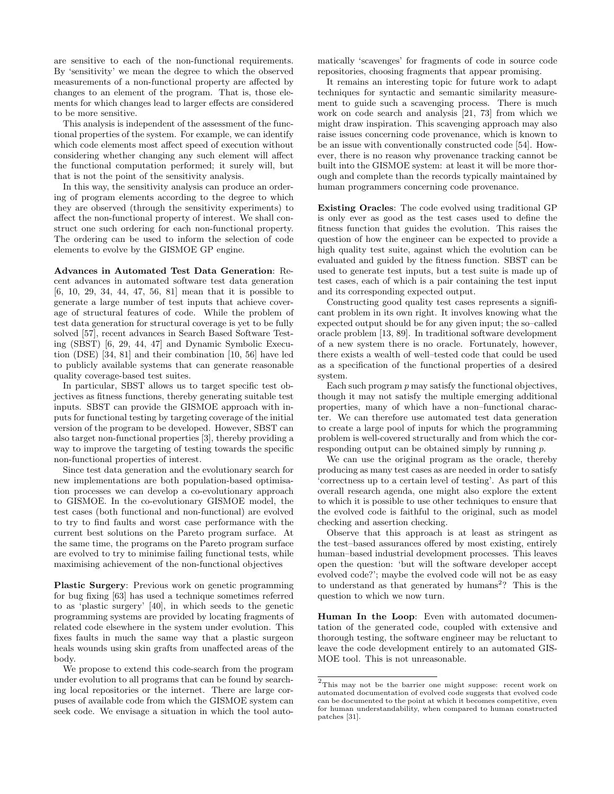are sensitive to each of the non-functional requirements. By 'sensitivity' we mean the degree to which the observed measurements of a non-functional property are affected by changes to an element of the program. That is, those elements for which changes lead to larger effects are considered to be more sensitive.

This analysis is independent of the assessment of the functional properties of the system. For example, we can identify which code elements most affect speed of execution without considering whether changing any such element will affect the functional computation performed; it surely will, but that is not the point of the sensitivity analysis.

In this way, the sensitivity analysis can produce an ordering of program elements according to the degree to which they are observed (through the sensitivity experiments) to affect the non-functional property of interest. We shall construct one such ordering for each non-functional property. The ordering can be used to inform the selection of code elements to evolve by the GISMOE GP engine.

Advances in Automated Test Data Generation: Recent advances in automated software test data generation [6, 10, 29, 34, 44, 47, 56, 81] mean that it is possible to generate a large number of test inputs that achieve coverage of structural features of code. While the problem of test data generation for structural coverage is yet to be fully solved [57], recent advances in Search Based Software Testing (SBST) [6, 29, 44, 47] and Dynamic Symbolic Execution (DSE) [34, 81] and their combination [10, 56] have led to publicly available systems that can generate reasonable quality coverage-based test suites.

In particular, SBST allows us to target specific test objectives as fitness functions, thereby generating suitable test inputs. SBST can provide the GISMOE approach with inputs for functional testing by targeting coverage of the initial version of the program to be developed. However, SBST can also target non-functional properties [3], thereby providing a way to improve the targeting of testing towards the specific non-functional properties of interest.

Since test data generation and the evolutionary search for new implementations are both population-based optimisation processes we can develop a co-evolutionary approach to GISMOE. In the co-evolutionary GISMOE model, the test cases (both functional and non-functional) are evolved to try to find faults and worst case performance with the current best solutions on the Pareto program surface. At the same time, the programs on the Pareto program surface are evolved to try to minimise failing functional tests, while maximising achievement of the non-functional objectives

Plastic Surgery: Previous work on genetic programming for bug fixing [63] has used a technique sometimes referred to as 'plastic surgery' [40], in which seeds to the genetic programming systems are provided by locating fragments of related code elsewhere in the system under evolution. This fixes faults in much the same way that a plastic surgeon heals wounds using skin grafts from unaffected areas of the body.

We propose to extend this code-search from the program under evolution to all programs that can be found by searching local repositories or the internet. There are large corpuses of available code from which the GISMOE system can seek code. We envisage a situation in which the tool automatically 'scavenges' for fragments of code in source code repositories, choosing fragments that appear promising.

It remains an interesting topic for future work to adapt techniques for syntactic and semantic similarity measurement to guide such a scavenging process. There is much work on code search and analysis [21, 73] from which we might draw inspiration. This scavenging approach may also raise issues concerning code provenance, which is known to be an issue with conventionally constructed code [54]. However, there is no reason why provenance tracking cannot be built into the GISMOE system: at least it will be more thorough and complete than the records typically maintained by human programmers concerning code provenance.

Existing Oracles: The code evolved using traditional GP is only ever as good as the test cases used to define the fitness function that guides the evolution. This raises the question of how the engineer can be expected to provide a high quality test suite, against which the evolution can be evaluated and guided by the fitness function. SBST can be used to generate test inputs, but a test suite is made up of test cases, each of which is a pair containing the test input and its corresponding expected output.

Constructing good quality test cases represents a significant problem in its own right. It involves knowing what the expected output should be for any given input; the so–called oracle problem [13, 89]. In traditional software development of a new system there is no oracle. Fortunately, however, there exists a wealth of well–tested code that could be used as a specification of the functional properties of a desired system.

Each such program  $p$  may satisfy the functional objectives, though it may not satisfy the multiple emerging additional properties, many of which have a non–functional character. We can therefore use automated test data generation to create a large pool of inputs for which the programming problem is well-covered structurally and from which the corresponding output can be obtained simply by running p.

We can use the original program as the oracle, thereby producing as many test cases as are needed in order to satisfy 'correctness up to a certain level of testing'. As part of this overall research agenda, one might also explore the extent to which it is possible to use other techniques to ensure that the evolved code is faithful to the original, such as model checking and assertion checking.

Observe that this approach is at least as stringent as the test–based assurances offered by most existing, entirely human–based industrial development processes. This leaves open the question: 'but will the software developer accept evolved code?'; maybe the evolved code will not be as easy to understand as that generated by humans<sup>2</sup>? This is the question to which we now turn.

Human In the Loop: Even with automated documentation of the generated code, coupled with extensive and thorough testing, the software engineer may be reluctant to leave the code development entirely to an automated GIS-MOE tool. This is not unreasonable.

<sup>2</sup>This may not be the barrier one might suppose: recent work on automated documentation of evolved code suggests that evolved code can be documented to the point at which it becomes competitive, even for human understandability, when compared to human constructed patches [31].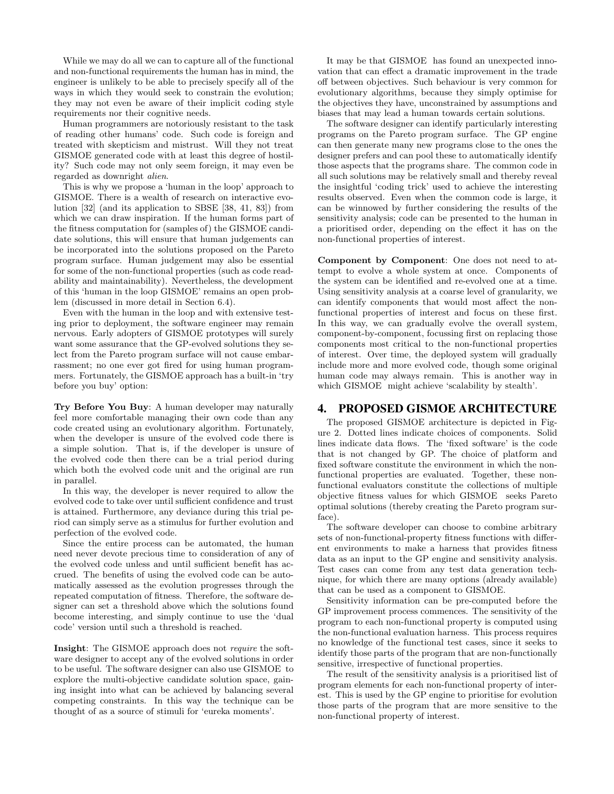While we may do all we can to capture all of the functional and non-functional requirements the human has in mind, the engineer is unlikely to be able to precisely specify all of the ways in which they would seek to constrain the evolution; they may not even be aware of their implicit coding style requirements nor their cognitive needs.

Human programmers are notoriously resistant to the task of reading other humans' code. Such code is foreign and treated with skepticism and mistrust. Will they not treat GISMOE generated code with at least this degree of hostility? Such code may not only seem foreign, it may even be regarded as downright alien.

This is why we propose a 'human in the loop' approach to GISMOE. There is a wealth of research on interactive evolution [32] (and its application to SBSE [38, 41, 83]) from which we can draw inspiration. If the human forms part of the fitness computation for (samples of) the GISMOE candidate solutions, this will ensure that human judgements can be incorporated into the solutions proposed on the Pareto program surface. Human judgement may also be essential for some of the non-functional properties (such as code readability and maintainability). Nevertheless, the development of this 'human in the loop GISMOE' remains an open problem (discussed in more detail in Section 6.4).

Even with the human in the loop and with extensive testing prior to deployment, the software engineer may remain nervous. Early adopters of GISMOE prototypes will surely want some assurance that the GP-evolved solutions they select from the Pareto program surface will not cause embarrassment; no one ever got fired for using human programmers. Fortunately, the GISMOE approach has a built-in 'try before you buy' option:

Try Before You Buy: A human developer may naturally feel more comfortable managing their own code than any code created using an evolutionary algorithm. Fortunately, when the developer is unsure of the evolved code there is a simple solution. That is, if the developer is unsure of the evolved code then there can be a trial period during which both the evolved code unit and the original are run in parallel.

In this way, the developer is never required to allow the evolved code to take over until sufficient confidence and trust is attained. Furthermore, any deviance during this trial period can simply serve as a stimulus for further evolution and perfection of the evolved code.

Since the entire process can be automated, the human need never devote precious time to consideration of any of the evolved code unless and until sufficient benefit has accrued. The benefits of using the evolved code can be automatically assessed as the evolution progresses through the repeated computation of fitness. Therefore, the software designer can set a threshold above which the solutions found become interesting, and simply continue to use the 'dual code' version until such a threshold is reached.

Insight: The GISMOE approach does not require the software designer to accept any of the evolved solutions in order to be useful. The software designer can also use GISMOE to explore the multi-objective candidate solution space, gaining insight into what can be achieved by balancing several competing constraints. In this way the technique can be thought of as a source of stimuli for 'eureka moments'.

It may be that GISMOE has found an unexpected innovation that can effect a dramatic improvement in the trade off between objectives. Such behaviour is very common for evolutionary algorithms, because they simply optimise for the objectives they have, unconstrained by assumptions and biases that may lead a human towards certain solutions.

The software designer can identify particularly interesting programs on the Pareto program surface. The GP engine can then generate many new programs close to the ones the designer prefers and can pool these to automatically identify those aspects that the programs share. The common code in all such solutions may be relatively small and thereby reveal the insightful 'coding trick' used to achieve the interesting results observed. Even when the common code is large, it can be winnowed by further considering the results of the sensitivity analysis; code can be presented to the human in a prioritised order, depending on the effect it has on the non-functional properties of interest.

Component by Component: One does not need to attempt to evolve a whole system at once. Components of the system can be identified and re-evolved one at a time. Using sensitivity analysis at a coarse level of granularity, we can identify components that would most affect the nonfunctional properties of interest and focus on these first. In this way, we can gradually evolve the overall system, component-by-component, focussing first on replacing those components most critical to the non-functional properties of interest. Over time, the deployed system will gradually include more and more evolved code, though some original human code may always remain. This is another way in which GISMOE might achieve 'scalability by stealth'.

#### 4. PROPOSED GISMOE ARCHITECTURE

The proposed GISMOE architecture is depicted in Figure 2. Dotted lines indicate choices of components. Solid lines indicate data flows. The 'fixed software' is the code that is not changed by GP. The choice of platform and fixed software constitute the environment in which the nonfunctional properties are evaluated. Together, these nonfunctional evaluators constitute the collections of multiple objective fitness values for which GISMOE seeks Pareto optimal solutions (thereby creating the Pareto program surface).

The software developer can choose to combine arbitrary sets of non-functional-property fitness functions with different environments to make a harness that provides fitness data as an input to the GP engine and sensitivity analysis. Test cases can come from any test data generation technique, for which there are many options (already available) that can be used as a component to GISMOE.

Sensitivity information can be pre-computed before the GP improvement process commences. The sensitivity of the program to each non-functional property is computed using the non-functional evaluation harness. This process requires no knowledge of the functional test cases, since it seeks to identify those parts of the program that are non-functionally sensitive, irrespective of functional properties.

The result of the sensitivity analysis is a prioritised list of program elements for each non-functional property of interest. This is used by the GP engine to prioritise for evolution those parts of the program that are more sensitive to the non-functional property of interest.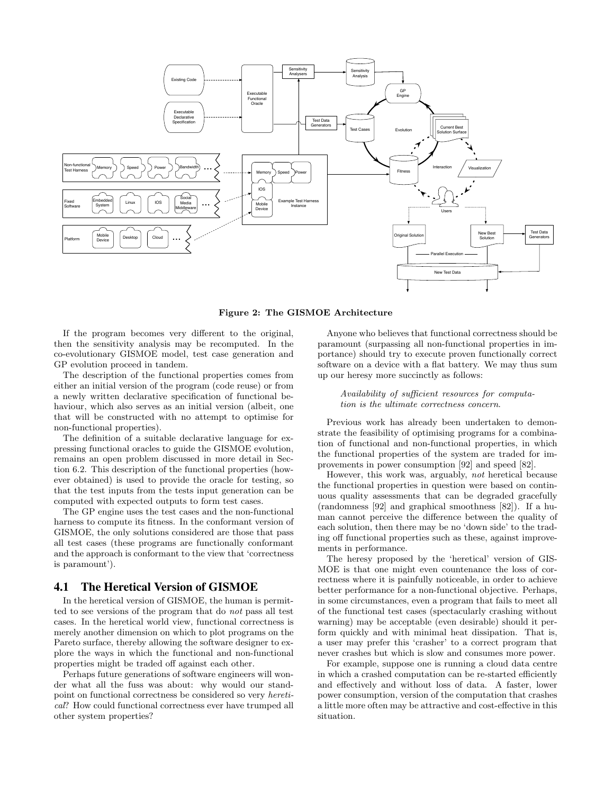

Figure 2: The GISMOE Architecture

If the program becomes very different to the original, then the sensitivity analysis may be recomputed. In the co-evolutionary GISMOE model, test case generation and GP evolution proceed in tandem.

The description of the functional properties comes from either an initial version of the program (code reuse) or from a newly written declarative specification of functional behaviour, which also serves as an initial version (albeit, one that will be constructed with no attempt to optimise for non-functional properties).

The definition of a suitable declarative language for expressing functional oracles to guide the GISMOE evolution, remains an open problem discussed in more detail in Section 6.2. This description of the functional properties (however obtained) is used to provide the oracle for testing, so that the test inputs from the tests input generation can be computed with expected outputs to form test cases.

The GP engine uses the test cases and the non-functional harness to compute its fitness. In the conformant version of GISMOE, the only solutions considered are those that pass all test cases (these programs are functionally conformant and the approach is conformant to the view that 'correctness is paramount').

# 4.1 The Heretical Version of GISMOE

In the heretical version of GISMOE, the human is permitted to see versions of the program that do not pass all test cases. In the heretical world view, functional correctness is merely another dimension on which to plot programs on the Pareto surface, thereby allowing the software designer to explore the ways in which the functional and non-functional properties might be traded off against each other.

Perhaps future generations of software engineers will wonder what all the fuss was about: why would our standpoint on functional correctness be considered so very heretical? How could functional correctness ever have trumped all other system properties?

Anyone who believes that functional correctness should be paramount (surpassing all non-functional properties in importance) should try to execute proven functionally correct software on a device with a flat battery. We may thus sum up our heresy more succinctly as follows:

Availability of sufficient resources for computation is the ultimate correctness concern.

Previous work has already been undertaken to demonstrate the feasibility of optimising programs for a combination of functional and non-functional properties, in which the functional properties of the system are traded for improvements in power consumption [92] and speed [82].

However, this work was, arguably, not heretical because the functional properties in question were based on continuous quality assessments that can be degraded gracefully (randomness [92] and graphical smoothness [82]). If a human cannot perceive the difference between the quality of each solution, then there may be no 'down side' to the trading off functional properties such as these, against improvements in performance.

The heresy proposed by the 'heretical' version of GIS-MOE is that one might even countenance the loss of correctness where it is painfully noticeable, in order to achieve better performance for a non-functional objective. Perhaps, in some circumstances, even a program that fails to meet all of the functional test cases (spectacularly crashing without warning) may be acceptable (even desirable) should it perform quickly and with minimal heat dissipation. That is, a user may prefer this 'crasher' to a correct program that never crashes but which is slow and consumes more power.

For example, suppose one is running a cloud data centre in which a crashed computation can be re-started efficiently and effectively and without loss of data. A faster, lower power consumption, version of the computation that crashes a little more often may be attractive and cost-effective in this situation.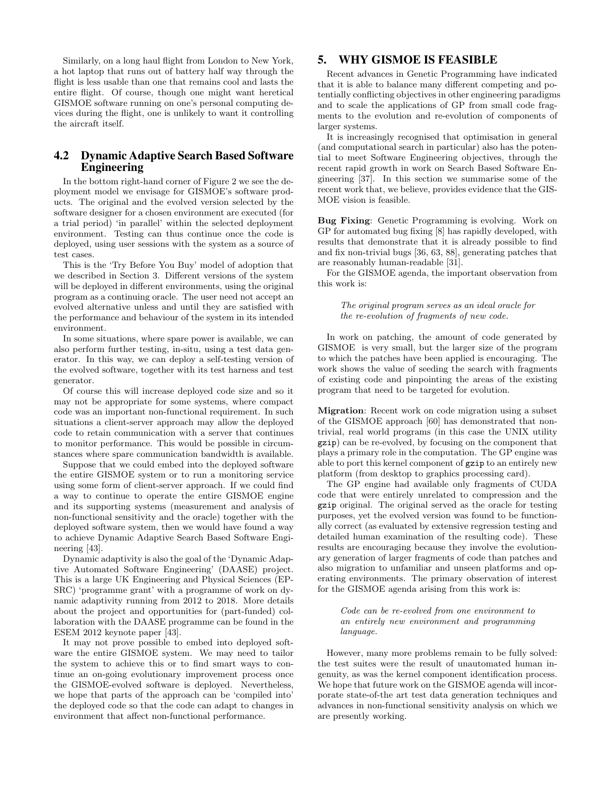Similarly, on a long haul flight from London to New York, a hot laptop that runs out of battery half way through the flight is less usable than one that remains cool and lasts the entire flight. Of course, though one might want heretical GISMOE software running on one's personal computing devices during the flight, one is unlikely to want it controlling the aircraft itself.

# 4.2 Dynamic Adaptive Search Based Software Engineering

In the bottom right-hand corner of Figure 2 we see the deployment model we envisage for GISMOE's software products. The original and the evolved version selected by the software designer for a chosen environment are executed (for a trial period) 'in parallel' within the selected deployment environment. Testing can thus continue once the code is deployed, using user sessions with the system as a source of test cases.

This is the 'Try Before You Buy' model of adoption that we described in Section 3. Different versions of the system will be deployed in different environments, using the original program as a continuing oracle. The user need not accept an evolved alternative unless and until they are satisfied with the performance and behaviour of the system in its intended environment.

In some situations, where spare power is available, we can also perform further testing, in-situ, using a test data generator. In this way, we can deploy a self-testing version of the evolved software, together with its test harness and test generator.

Of course this will increase deployed code size and so it may not be appropriate for some systems, where compact code was an important non-functional requirement. In such situations a client-server approach may allow the deployed code to retain communication with a server that continues to monitor performance. This would be possible in circumstances where spare communication bandwidth is available.

Suppose that we could embed into the deployed software the entire GISMOE system or to run a monitoring service using some form of client-server approach. If we could find a way to continue to operate the entire GISMOE engine and its supporting systems (measurement and analysis of non-functional sensitivity and the oracle) together with the deployed software system, then we would have found a way to achieve Dynamic Adaptive Search Based Software Engineering [43].

Dynamic adaptivity is also the goal of the 'Dynamic Adaptive Automated Software Engineering' (DAASE) project. This is a large UK Engineering and Physical Sciences (EP-SRC) 'programme grant' with a programme of work on dynamic adaptivity running from 2012 to 2018. More details about the project and opportunities for (part-funded) collaboration with the DAASE programme can be found in the ESEM 2012 keynote paper [43].

It may not prove possible to embed into deployed software the entire GISMOE system. We may need to tailor the system to achieve this or to find smart ways to continue an on-going evolutionary improvement process once the GISMOE-evolved software is deployed. Nevertheless, we hope that parts of the approach can be 'compiled into' the deployed code so that the code can adapt to changes in environment that affect non-functional performance.

# 5. WHY GISMOE IS FEASIBLE

Recent advances in Genetic Programming have indicated that it is able to balance many different competing and potentially conflicting objectives in other engineering paradigms and to scale the applications of GP from small code fragments to the evolution and re-evolution of components of larger systems.

It is increasingly recognised that optimisation in general (and computational search in particular) also has the potential to meet Software Engineering objectives, through the recent rapid growth in work on Search Based Software Engineering [37]. In this section we summarise some of the recent work that, we believe, provides evidence that the GIS-MOE vision is feasible.

Bug Fixing: Genetic Programming is evolving. Work on GP for automated bug fixing [8] has rapidly developed, with results that demonstrate that it is already possible to find and fix non-trivial bugs [36, 63, 88], generating patches that are reasonably human-readable [31].

For the GISMOE agenda, the important observation from this work is:

The original program serves as an ideal oracle for the re-evolution of fragments of new code.

In work on patching, the amount of code generated by GISMOE is very small, but the larger size of the program to which the patches have been applied is encouraging. The work shows the value of seeding the search with fragments of existing code and pinpointing the areas of the existing program that need to be targeted for evolution.

Migration: Recent work on code migration using a subset of the GISMOE approach [60] has demonstrated that nontrivial, real world programs (in this case the UNIX utility gzip) can be re-evolved, by focusing on the component that plays a primary role in the computation. The GP engine was able to port this kernel component of gzip to an entirely new platform (from desktop to graphics processing card).

The GP engine had available only fragments of CUDA code that were entirely unrelated to compression and the gzip original. The original served as the oracle for testing purposes, yet the evolved version was found to be functionally correct (as evaluated by extensive regression testing and detailed human examination of the resulting code). These results are encouraging because they involve the evolutionary generation of larger fragments of code than patches and also migration to unfamiliar and unseen platforms and operating environments. The primary observation of interest for the GISMOE agenda arising from this work is:

Code can be re-evolved from one environment to an entirely new environment and programming language.

However, many more problems remain to be fully solved: the test suites were the result of unautomated human ingenuity, as was the kernel component identification process. We hope that future work on the GISMOE agenda will incorporate state-of-the art test data generation techniques and advances in non-functional sensitivity analysis on which we are presently working.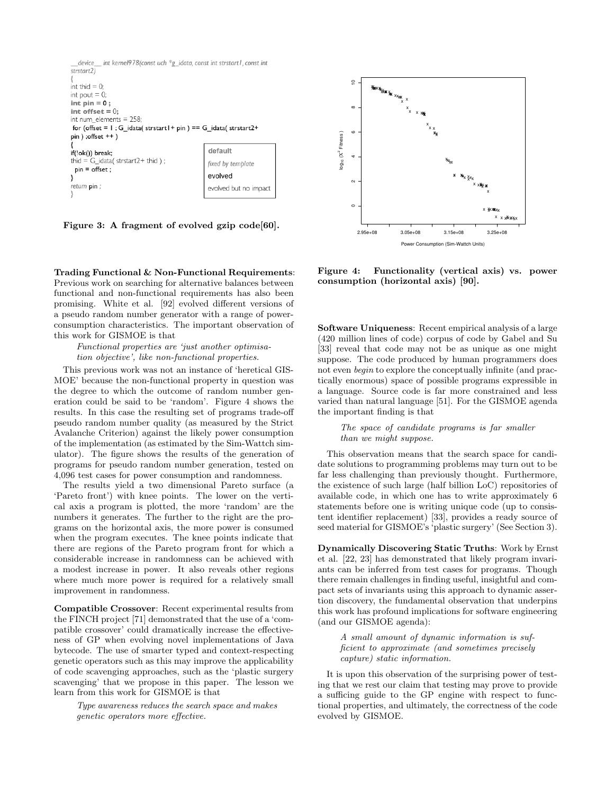```
device __ int kernel978(const uch *g_idata, const int strstart1, const int
strstart2)
int thid = 0:
int pout = 0;
int pin = 0;
int offset = 0:
int num_elements = 258;
for (offset = 1; G_idata( strstart1+ pin) == G_idata( strstart2+
pin) : offset ++)
                                                 default
if(!ok()) break;
thid = G_idata( strstart2+ thid);
                                                 fixed by template
 pin = offset;evolved
₹
return pin;
                                                 evolved but no impact
```
Figure 3: A fragment of evolved gzip code[60].

Trading Functional & Non-Functional Requirements: Previous work on searching for alternative balances between functional and non-functional requirements has also been promising. White et al. [92] evolved different versions of a pseudo random number generator with a range of powerconsumption characteristics. The important observation of this work for GISMOE is that

Functional properties are 'just another optimisation objective', like non-functional properties.

This previous work was not an instance of 'heretical GIS-MOE' because the non-functional property in question was the degree to which the outcome of random number generation could be said to be 'random'. Figure 4 shows the results. In this case the resulting set of programs trade-off pseudo random number quality (as measured by the Strict Avalanche Criterion) against the likely power consumption of the implementation (as estimated by the Sim-Wattch simulator). The figure shows the results of the generation of programs for pseudo random number generation, tested on 4,096 test cases for power consumption and randomness.

The results yield a two dimensional Pareto surface (a 'Pareto front') with knee points. The lower on the vertical axis a program is plotted, the more 'random' are the numbers it generates. The further to the right are the programs on the horizontal axis, the more power is consumed when the program executes. The knee points indicate that there are regions of the Pareto program front for which a considerable increase in randomness can be achieved with a modest increase in power. It also reveals other regions where much more power is required for a relatively small improvement in randomness.

Compatible Crossover: Recent experimental results from the FINCH project [71] demonstrated that the use of a 'compatible crossover' could dramatically increase the effectiveness of GP when evolving novel implementations of Java bytecode. The use of smarter typed and context-respecting genetic operators such as this may improve the applicability of code scavenging approaches, such as the 'plastic surgery scavenging' that we propose in this paper. The lesson we learn from this work for GISMOE is that

Type awareness reduces the search space and makes genetic operators more effective.



Figure 4: Functionality (vertical axis) vs. power consumption (horizontal axis) [90].

Software Uniqueness: Recent empirical analysis of a large (420 million lines of code) corpus of code by Gabel and Su [33] reveal that code may not be as unique as one might suppose. The code produced by human programmers does not even begin to explore the conceptually infinite (and practically enormous) space of possible programs expressible in a language. Source code is far more constrained and less varied than natural language [51]. For the GISMOE agenda the important finding is that

The space of candidate programs is far smaller than we might suppose.

This observation means that the search space for candidate solutions to programming problems may turn out to be far less challenging than previously thought. Furthermore, the existence of such large (half billion LoC) repositories of available code, in which one has to write approximately 6 statements before one is writing unique code (up to consistent identifier replacement) [33], provides a ready source of seed material for GISMOE's 'plastic surgery' (See Section 3).

Dynamically Discovering Static Truths: Work by Ernst et al. [22, 23] has demonstrated that likely program invariants can be inferred from test cases for programs. Though there remain challenges in finding useful, insightful and compact sets of invariants using this approach to dynamic assertion discovery, the fundamental observation that underpins this work has profound implications for software engineering (and our GISMOE agenda):

A small amount of dynamic information is sufficient to approximate (and sometimes precisely capture) static information.

It is upon this observation of the surprising power of testing that we rest our claim that testing may prove to provide a sufficing guide to the GP engine with respect to functional properties, and ultimately, the correctness of the code evolved by GISMOE.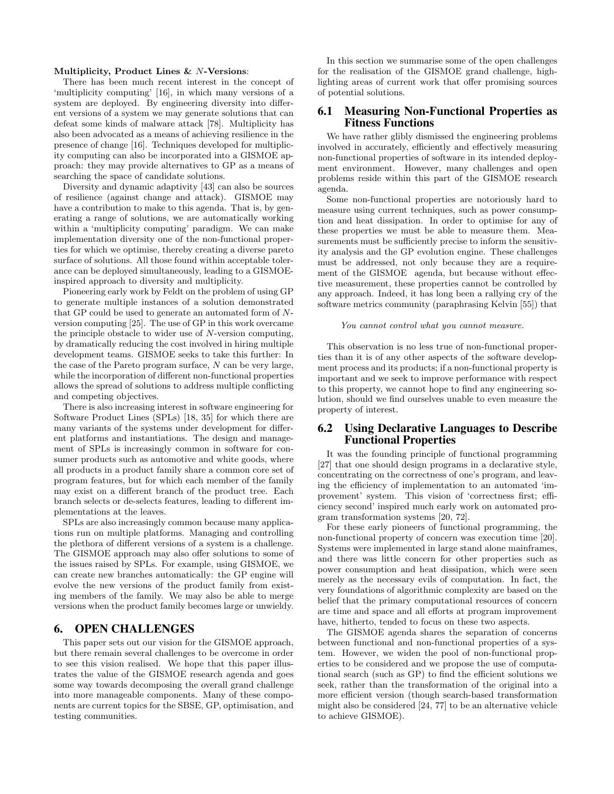#### Multiplicity, Product Lines & N-Versions:

There has been much recent interest in the concept of 'multiplicity computing' [16], in which many versions of a system are deployed. By engineering diversity into different versions of a system we may generate solutions that can defeat some kinds of malware attack [78]. Multiplicity has also been advocated as a means of achieving resilience in the presence of change [16]. Techniques developed for multiplicity computing can also be incorporated into a GISMOE approach: they may provide alternatives to GP as a means of searching the space of candidate solutions.

Diversity and dynamic adaptivity [43] can also be sources of resilience (against change and attack). GISMOE may have a contribution to make to this agenda. That is, by generating a range of solutions, we are automatically working within a 'multiplicity computing' paradigm. We can make implementation diversity one of the non-functional properties for which we optimise, thereby creating a diverse pareto surface of solutions. All those found within acceptable tolerance can be deployed simultaneously, leading to a GISMOEinspired approach to diversity and multiplicity.

Pioneering early work by Feldt on the problem of using GP to generate multiple instances of a solution demonstrated that GP could be used to generate an automated form of Nversion computing [25]. The use of GP in this work overcame the principle obstacle to wider use of N-version computing, by dramatically reducing the cost involved in hiring multiple development teams. GISMOE seeks to take this further: In the case of the Pareto program surface,  $N$  can be very large, while the incorporation of different non-functional properties allows the spread of solutions to address multiple conflicting and competing objectives.

There is also increasing interest in software engineering for Software Product Lines (SPLs) [18, 35] for which there are many variants of the systems under development for different platforms and instantiations. The design and management of SPLs is increasingly common in software for consumer products such as automotive and white goods, where all products in a product family share a common core set of program features, but for which each member of the family may exist on a different branch of the product tree. Each branch selects or de-selects features, leading to different implementations at the leaves.

SPLs are also increasingly common because many applications run on multiple platforms. Managing and controlling the plethora of different versions of a system is a challenge. The GISMOE approach may also offer solutions to some of the issues raised by SPLs. For example, using GISMOE, we can create new branches automatically: the GP engine will evolve the new versions of the product family from existing members of the family. We may also be able to merge versions when the product family becomes large or unwieldy.

# 6. OPEN CHALLENGES

This paper sets out our vision for the GISMOE approach, but there remain several challenges to be overcome in order to see this vision realised. We hope that this paper illustrates the value of the GISMOE research agenda and goes some way towards decomposing the overall grand challenge into more manageable components. Many of these components are current topics for the SBSE, GP, optimisation, and testing communities.

In this section we summarise some of the open challenges for the realisation of the GISMOE grand challenge, highlighting areas of current work that offer promising sources of potential solutions.

#### 6.1 Measuring Non-Functional Properties as Fitness Functions

We have rather glibly dismissed the engineering problems involved in accurately, efficiently and effectively measuring non-functional properties of software in its intended deployment environment. However, many challenges and open problems reside within this part of the GISMOE research agenda.

Some non-functional properties are notoriously hard to measure using current techniques, such as power consumption and heat dissipation. In order to optimise for any of these properties we must be able to measure them. Measurements must be sufficiently precise to inform the sensitivity analysis and the GP evolution engine. These challenges must be addressed, not only because they are a requirement of the GISMOE agenda, but because without effective measurement, these properties cannot be controlled by any approach. Indeed, it has long been a rallying cry of the software metrics community (paraphrasing Kelvin [55]) that

#### You cannot control what you cannot measure.

This observation is no less true of non-functional properties than it is of any other aspects of the software development process and its products; if a non-functional property is important and we seek to improve performance with respect to this property, we cannot hope to find any engineering solution, should we find ourselves unable to even measure the property of interest.

#### 6.2 Using Declarative Languages to Describe Functional Properties

It was the founding principle of functional programming [27] that one should design programs in a declarative style, concentrating on the correctness of one's program, and leaving the efficiency of implementation to an automated 'improvement' system. This vision of 'correctness first; efficiency second' inspired much early work on automated program transformation systems [20, 72].

For these early pioneers of functional programming, the non-functional property of concern was execution time [20]. Systems were implemented in large stand alone mainframes, and there was little concern for other properties such as power consumption and heat dissipation, which were seen merely as the necessary evils of computation. In fact, the very foundations of algorithmic complexity are based on the belief that the primary computational resources of concern are time and space and all efforts at program improvement have, hitherto, tended to focus on these two aspects.

The GISMOE agenda shares the separation of concerns between functional and non-functional properties of a system. However, we widen the pool of non-functional properties to be considered and we propose the use of computational search (such as GP) to find the efficient solutions we seek, rather than the transformation of the original into a more efficient version (though search-based transformation might also be considered [24, 77] to be an alternative vehicle to achieve GISMOE).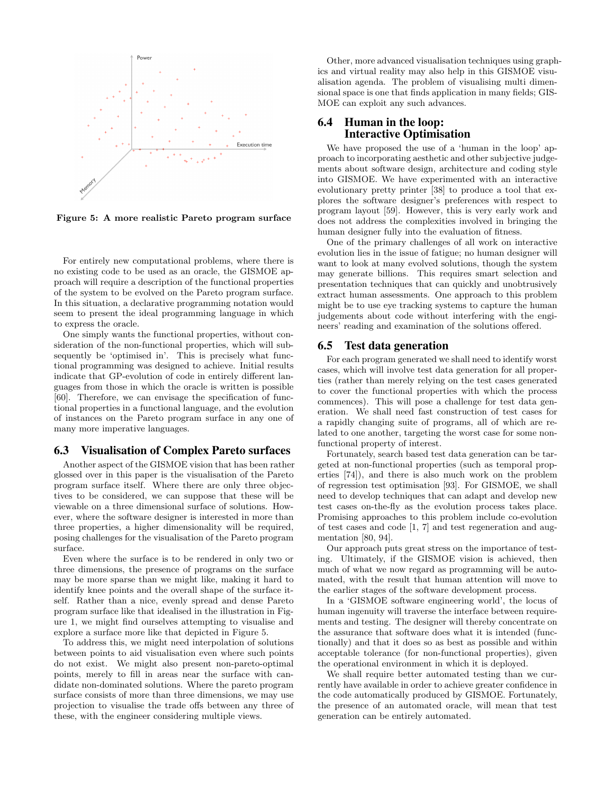

Figure 5: A more realistic Pareto program surface

For entirely new computational problems, where there is no existing code to be used as an oracle, the GISMOE approach will require a description of the functional properties of the system to be evolved on the Pareto program surface. In this situation, a declarative programming notation would seem to present the ideal programming language in which to express the oracle.

One simply wants the functional properties, without consideration of the non-functional properties, which will subsequently be 'optimised in'. This is precisely what functional programming was designed to achieve. Initial results indicate that GP-evolution of code in entirely different languages from those in which the oracle is written is possible [60]. Therefore, we can envisage the specification of functional properties in a functional language, and the evolution of instances on the Pareto program surface in any one of many more imperative languages.

#### 6.3 Visualisation of Complex Pareto surfaces

Another aspect of the GISMOE vision that has been rather glossed over in this paper is the visualisation of the Pareto program surface itself. Where there are only three objectives to be considered, we can suppose that these will be viewable on a three dimensional surface of solutions. However, where the software designer is interested in more than three properties, a higher dimensionality will be required, posing challenges for the visualisation of the Pareto program surface.

Even where the surface is to be rendered in only two or three dimensions, the presence of programs on the surface may be more sparse than we might like, making it hard to identify knee points and the overall shape of the surface itself. Rather than a nice, evenly spread and dense Pareto program surface like that idealised in the illustration in Figure 1, we might find ourselves attempting to visualise and explore a surface more like that depicted in Figure 5.

To address this, we might need interpolation of solutions between points to aid visualisation even where such points do not exist. We might also present non-pareto-optimal points, merely to fill in areas near the surface with candidate non-dominated solutions. Where the pareto program surface consists of more than three dimensions, we may use projection to visualise the trade offs between any three of these, with the engineer considering multiple views.

Other, more advanced visualisation techniques using graphics and virtual reality may also help in this GISMOE visualisation agenda. The problem of visualising multi dimensional space is one that finds application in many fields; GIS-MOE can exploit any such advances.

## 6.4 Human in the loop: Interactive Optimisation

We have proposed the use of a 'human in the loop' approach to incorporating aesthetic and other subjective judgements about software design, architecture and coding style into GISMOE. We have experimented with an interactive evolutionary pretty printer [38] to produce a tool that explores the software designer's preferences with respect to program layout [59]. However, this is very early work and does not address the complexities involved in bringing the human designer fully into the evaluation of fitness.

One of the primary challenges of all work on interactive evolution lies in the issue of fatigue; no human designer will want to look at many evolved solutions, though the system may generate billions. This requires smart selection and presentation techniques that can quickly and unobtrusively extract human assessments. One approach to this problem might be to use eye tracking systems to capture the human judgements about code without interfering with the engineers' reading and examination of the solutions offered.

#### 6.5 Test data generation

For each program generated we shall need to identify worst cases, which will involve test data generation for all properties (rather than merely relying on the test cases generated to cover the functional properties with which the process commences). This will pose a challenge for test data generation. We shall need fast construction of test cases for a rapidly changing suite of programs, all of which are related to one another, targeting the worst case for some nonfunctional property of interest.

Fortunately, search based test data generation can be targeted at non-functional properties (such as temporal properties [74]), and there is also much work on the problem of regression test optimisation [93]. For GISMOE, we shall need to develop techniques that can adapt and develop new test cases on-the-fly as the evolution process takes place. Promising approaches to this problem include co-evolution of test cases and code [1, 7] and test regeneration and augmentation [80, 94].

Our approach puts great stress on the importance of testing. Ultimately, if the GISMOE vision is achieved, then much of what we now regard as programming will be automated, with the result that human attention will move to the earlier stages of the software development process.

In a 'GISMOE software engineering world', the locus of human ingenuity will traverse the interface between requirements and testing. The designer will thereby concentrate on the assurance that software does what it is intended (functionally) and that it does so as best as possible and within acceptable tolerance (for non-functional properties), given the operational environment in which it is deployed.

We shall require better automated testing than we currently have available in order to achieve greater confidence in the code automatically produced by GISMOE. Fortunately, the presence of an automated oracle, will mean that test generation can be entirely automated.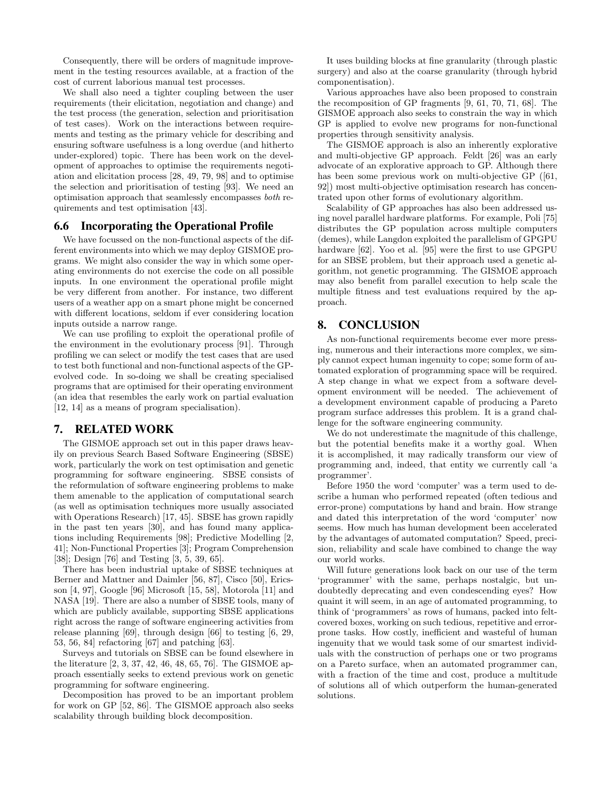Consequently, there will be orders of magnitude improvement in the testing resources available, at a fraction of the cost of current laborious manual test processes.

We shall also need a tighter coupling between the user requirements (their elicitation, negotiation and change) and the test process (the generation, selection and prioritisation of test cases). Work on the interactions between requirements and testing as the primary vehicle for describing and ensuring software usefulness is a long overdue (and hitherto under-explored) topic. There has been work on the development of approaches to optimise the requirements negotiation and elicitation process [28, 49, 79, 98] and to optimise the selection and prioritisation of testing [93]. We need an optimisation approach that seamlessly encompasses both requirements and test optimisation [43].

#### 6.6 Incorporating the Operational Profile

We have focussed on the non-functional aspects of the different environments into which we may deploy GISMOE programs. We might also consider the way in which some operating environments do not exercise the code on all possible inputs. In one environment the operational profile might be very different from another. For instance, two different users of a weather app on a smart phone might be concerned with different locations, seldom if ever considering location inputs outside a narrow range.

We can use profiling to exploit the operational profile of the environment in the evolutionary process [91]. Through profiling we can select or modify the test cases that are used to test both functional and non-functional aspects of the GPevolved code. In so-doing we shall be creating specialised programs that are optimised for their operating environment (an idea that resembles the early work on partial evaluation [12, 14] as a means of program specialisation).

# 7. RELATED WORK

The GISMOE approach set out in this paper draws heavily on previous Search Based Software Engineering (SBSE) work, particularly the work on test optimisation and genetic programming for software engineering. SBSE consists of the reformulation of software engineering problems to make them amenable to the application of computational search (as well as optimisation techniques more usually associated with Operations Research) [17, 45]. SBSE has grown rapidly in the past ten years [30], and has found many applications including Requirements [98]; Predictive Modelling [2, 41]; Non-Functional Properties [3]; Program Comprehension [38]; Design [76] and Testing [3, 5, 39, 65].

There has been industrial uptake of SBSE techniques at Berner and Mattner and Daimler [56, 87], Cisco [50], Ericsson [4, 97], Google [96] Microsoft [15, 58], Motorola [11] and NASA [19]. There are also a number of SBSE tools, many of which are publicly available, supporting SBSE applications right across the range of software engineering activities from release planning [69], through design [66] to testing [6, 29, 53, 56, 84] refactoring [67] and patching [63].

Surveys and tutorials on SBSE can be found elsewhere in the literature [2, 3, 37, 42, 46, 48, 65, 76]. The GISMOE approach essentially seeks to extend previous work on genetic programming for software engineering.

Decomposition has proved to be an important problem for work on GP [52, 86]. The GISMOE approach also seeks scalability through building block decomposition.

It uses building blocks at fine granularity (through plastic surgery) and also at the coarse granularity (through hybrid componentisation).

Various approaches have also been proposed to constrain the recomposition of GP fragments [9, 61, 70, 71, 68]. The GISMOE approach also seeks to constrain the way in which GP is applied to evolve new programs for non-functional properties through sensitivity analysis.

The GISMOE approach is also an inherently explorative and multi-objective GP approach. Feldt [26] was an early advocate of an explorative approach to GP. Although there has been some previous work on multi-objective GP ([61, 92]) most multi-objective optimisation research has concentrated upon other forms of evolutionary algorithm.

Scalability of GP approaches has also been addressed using novel parallel hardware platforms. For example, Poli [75] distributes the GP population across multiple computers (demes), while Langdon exploited the parallelism of GPGPU hardware [62]. Yoo et al. [95] were the first to use GPGPU for an SBSE problem, but their approach used a genetic algorithm, not genetic programming. The GISMOE approach may also benefit from parallel execution to help scale the multiple fitness and test evaluations required by the approach.

# 8. CONCLUSION

As non-functional requirements become ever more pressing, numerous and their interactions more complex, we simply cannot expect human ingenuity to cope; some form of automated exploration of programming space will be required. A step change in what we expect from a software development environment will be needed. The achievement of a development environment capable of producing a Pareto program surface addresses this problem. It is a grand challenge for the software engineering community.

We do not underestimate the magnitude of this challenge, but the potential benefits make it a worthy goal. When it is accomplished, it may radically transform our view of programming and, indeed, that entity we currently call 'a programmer'.

Before 1950 the word 'computer' was a term used to describe a human who performed repeated (often tedious and error-prone) computations by hand and brain. How strange and dated this interpretation of the word 'computer' now seems. How much has human development been accelerated by the advantages of automated computation? Speed, precision, reliability and scale have combined to change the way our world works.

Will future generations look back on our use of the term 'programmer' with the same, perhaps nostalgic, but undoubtedly deprecating and even condescending eyes? How quaint it will seem, in an age of automated programming, to think of 'programmers' as rows of humans, packed into feltcovered boxes, working on such tedious, repetitive and errorprone tasks. How costly, inefficient and wasteful of human ingenuity that we would task some of our smartest individuals with the construction of perhaps one or two programs on a Pareto surface, when an automated programmer can, with a fraction of the time and cost, produce a multitude of solutions all of which outperform the human-generated solutions.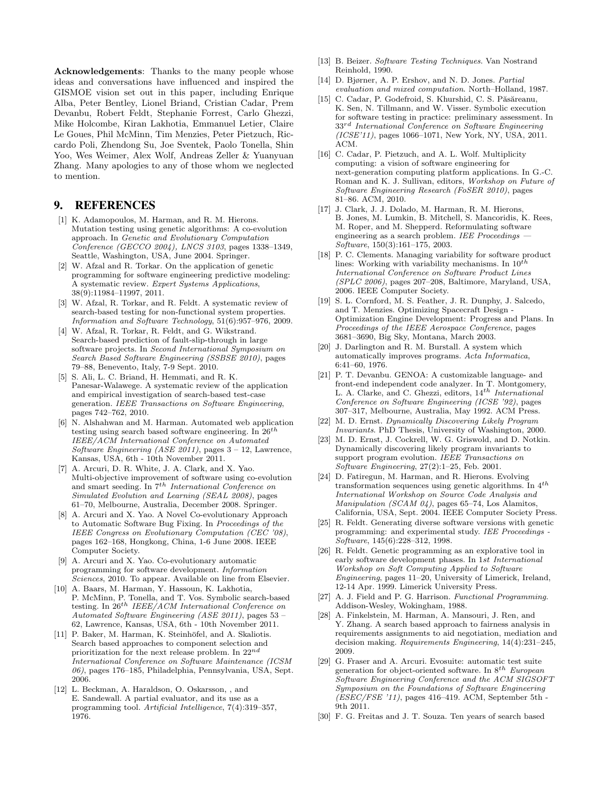Acknowledgements: Thanks to the many people whose ideas and conversations have influenced and inspired the GISMOE vision set out in this paper, including Enrique Alba, Peter Bentley, Lionel Briand, Cristian Cadar, Prem Devanbu, Robert Feldt, Stephanie Forrest, Carlo Ghezzi, Mike Holcombe, Kiran Lakhotia, Emmanuel Letier, Claire Le Goues, Phil McMinn, Tim Menzies, Peter Pietzuch, Riccardo Poli, Zhendong Su, Joe Sventek, Paolo Tonella, Shin Yoo, Wes Weimer, Alex Wolf, Andreas Zeller & Yuanyuan Zhang. Many apologies to any of those whom we neglected to mention.

# 9. REFERENCES

- [1] K. Adamopoulos, M. Harman, and R. M. Hierons. Mutation testing using genetic algorithms: A co-evolution approach. In Genetic and Evolutionary Computation Conference (GECCO 2004), LNCS 3103, pages 1338–1349, Seattle, Washington, USA, June 2004. Springer.
- [2] W. Afzal and R. Torkar. On the application of genetic programming for software engineering predictive modeling: A systematic review. Expert Systems Applications, 38(9):11984–11997, 2011.
- [3] W. Afzal, R. Torkar, and R. Feldt. A systematic review of search-based testing for non-functional system properties. Information and Software Technology, 51(6):957–976, 2009.
- [4] W. Afzal, R. Torkar, R. Feldt, and G. Wikstrand. Search-based prediction of fault-slip-through in large software projects. In Second International Symposium on Search Based Software Engineering (SSBSE 2010), pages 79–88, Benevento, Italy, 7-9 Sept. 2010.
- [5] S. Ali, L. C. Briand, H. Hemmati, and R. K. Panesar-Walawege. A systematic review of the application and empirical investigation of search-based test-case generation. IEEE Transactions on Software Engineering, pages 742–762, 2010.
- N. Alshahwan and M. Harman. Automated web application testing using search based software engineering. In  $26^{th}$ IEEE/ACM International Conference on Automated Software Engineering (ASE 2011), pages  $3 - 12$ , Lawrence, Kansas, USA, 6th - 10th November 2011.
- [7] A. Arcuri, D. R. White, J. A. Clark, and X. Yao. Multi-objective improvement of software using co-evolution and smart seeding. In  $7^{th}$  International Conference on Simulated Evolution and Learning (SEAL 2008), pages 61–70, Melbourne, Australia, December 2008. Springer.
- [8] A. Arcuri and X. Yao. A Novel Co-evolutionary Approach to Automatic Software Bug Fixing. In Proceedings of the IEEE Congress on Evolutionary Computation (CEC '08), pages 162–168, Hongkong, China, 1-6 June 2008. IEEE Computer Society.
- [9] A. Arcuri and X. Yao. Co-evolutionary automatic programming for software development. Information Sciences, 2010. To appear. Available on line from Elsevier.
- [10] A. Baars, M. Harman, Y. Hassoun, K. Lakhotia, P. McMinn, P. Tonella, and T. Vos. Symbolic search-based testing. In  $26^{th}$  IEEE/ACM International Conference on Automated Software Engineering (ASE 2011), pages 53 – 62, Lawrence, Kansas, USA, 6th - 10th November 2011.
- [11] P. Baker, M. Harman, K. Steinhöfel, and A. Skaliotis. Search based approaches to component selection and prioritization for the next release problem. In  $22^{nd}$ International Conference on Software Maintenance (ICSM 06), pages 176–185, Philadelphia, Pennsylvania, USA, Sept. 2006.
- [12] L. Beckman, A. Haraldson, O. Oskarsson, , and E. Sandewall. A partial evaluator, and its use as a programming tool. Artificial Intelligence, 7(4):319–357, 1976.
- [13] B. Beizer. Software Testing Techniques. Van Nostrand Reinhold, 1990.
- [14] D. Bjørner, A. P. Ershov, and N. D. Jones. Partial evaluation and mixed computation. North–Holland, 1987.
- [15] C. Cadar, P. Godefroid, S. Khurshid, C. S. Păsăreanu, K. Sen, N. Tillmann, and W. Visser. Symbolic execution for software testing in practice: preliminary assessment. In 33rd International Conference on Software Engineering (ICSE'11), pages 1066–1071, New York, NY, USA, 2011. ACM.
- [16] C. Cadar, P. Pietzuch, and A. L. Wolf. Multiplicity computing: a vision of software engineering for next-generation computing platform applications. In G.-C. Roman and K. J. Sullivan, editors, Workshop on Future of Software Engineering Research (FoSER 2010), pages 81–86. ACM, 2010.
- [17] J. Clark, J. J. Dolado, M. Harman, R. M. Hierons, B. Jones, M. Lumkin, B. Mitchell, S. Mancoridis, K. Rees, M. Roper, and M. Shepperd. Reformulating software engineering as a search problem. IEE Proceedings Software, 150(3):161–175, 2003.
- [18] P. C. Clements. Managing variability for software product lines: Working with variability mechanisms. In  $10^{th}$ International Conference on Software Product Lines (SPLC 2006), pages 207–208, Baltimore, Maryland, USA, 2006. IEEE Computer Society.
- [19] S. L. Cornford, M. S. Feather, J. R. Dunphy, J. Salcedo, and T. Menzies. Optimizing Spacecraft Design - Optimization Engine Development: Progress and Plans. In Proceedings of the IEEE Aerospace Conference, pages 3681–3690, Big Sky, Montana, March 2003.
- [20] J. Darlington and R. M. Burstall. A system which automatically improves programs. Acta Informatica, 6:41–60, 1976.
- [21] P. T. Devanbu. GENOA: A customizable language- and front-end independent code analyzer. In T. Montgomery, L. A. Clarke, and C. Ghezzi, editors,  $14^{th}$  International Conference on Software Engineering (ICSE '92), pages 307–317, Melbourne, Australia, May 1992. ACM Press.
- [22] M. D. Ernst. Dynamically Discovering Likely Program Invariants. PhD Thesis, University of Washington, 2000.
- [23] M. D. Ernst, J. Cockrell, W. G. Griswold, and D. Notkin. Dynamically discovering likely program invariants to support program evolution. IEEE Transactions on Software Engineering, 27(2):1–25, Feb. 2001.
- [24] D. Fatiregun, M. Harman, and R. Hierons. Evolving transformation sequences using genetic algorithms. In  $4^{th}$ International Workshop on Source Code Analysis and *Manipulation (SCAM*  $04$ *)*, pages 65–74, Los Alamitos, California, USA, Sept. 2004. IEEE Computer Society Press.
- [25] R. Feldt. Generating diverse software versions with genetic programming: and experimental study. IEE Proceedings - Software, 145(6):228–312, 1998.
- [26] R. Feldt. Genetic programming as an explorative tool in early software development phases. In 1st International Workshop on Soft Computing Applied to Software Engineering, pages 11–20, University of Limerick, Ireland, 12-14 Apr. 1999. Limerick University Press.
- [27] A. J. Field and P. G. Harrison. Functional Programming. Addison-Wesley, Wokingham, 1988.
- [28] A. Finkelstein, M. Harman, A. Mansouri, J. Ren, and Y. Zhang. A search based approach to fairness analysis in requirements assignments to aid negotiation, mediation and decision making. Requirements Engineering, 14(4):231–245, 2009.
- [29] G. Fraser and A. Arcuri. Evosuite: automatic test suite generation for object-oriented software. In  $8^{th}$  European Software Engineering Conference and the ACM SIGSOFT Symposium on the Foundations of Software Engineering  $(ESEC/FSE$  '11), pages 416–419. ACM, September 5th -9th 2011.
- [30] F. G. Freitas and J. T. Souza. Ten years of search based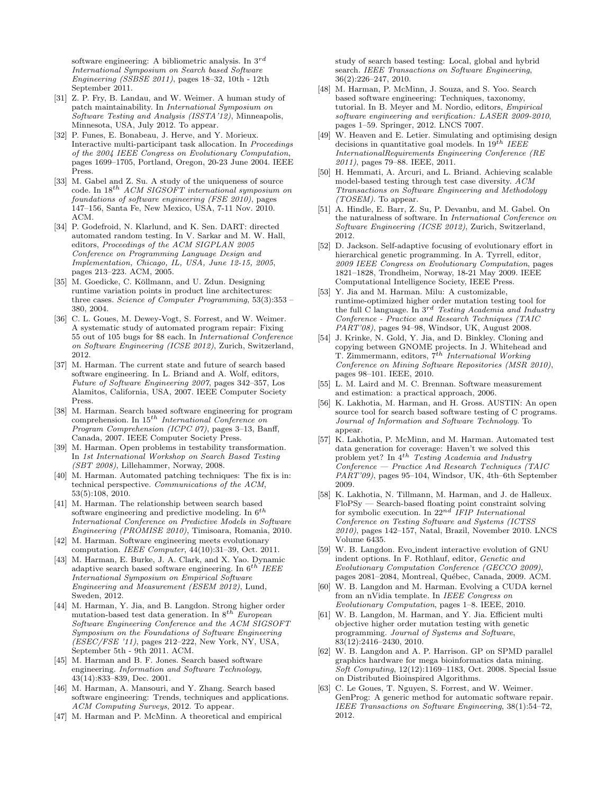software engineering: A bibliometric analysis. In  $3^{rd}$ International Symposium on Search based Software Engineering (SSBSE 2011), pages 18–32, 10th - 12th September 2011.

- [31] Z. P. Fry, B. Landau, and W. Weimer. A human study of patch maintainability. In International Symposium on Software Testing and Analysis (ISSTA'12), Minneapolis, Minnesota, USA, July 2012. To appear.
- [32] P. Funes, E. Bonabeau, J. Herve, and Y. Morieux. Interactive multi-participant task allocation. In Proceedings of the 2004 IEEE Congress on Evolutionary Computation, pages 1699–1705, Portland, Oregon, 20-23 June 2004. IEEE Press.
- [33] M. Gabel and Z. Su. A study of the uniqueness of source code. In  $18^{th}$  ACM SIGSOFT international symposium on foundations of software engineering (FSE 2010), pages 147–156, Santa Fe, New Mexico, USA, 7-11 Nov. 2010. ACM.
- [34] P. Godefroid, N. Klarlund, and K. Sen. DART: directed automated random testing. In V. Sarkar and M. W. Hall, editors, Proceedings of the ACM SIGPLAN 2005 Conference on Programming Language Design and Implementation, Chicago, IL, USA, June 12-15, 2005, pages 213–223. ACM, 2005.
- [35] M. Goedicke, C. Köllmann, and U. Zdun. Designing runtime variation points in product line architectures: three cases. Science of Computer Programming, 53(3):353 – 380, 2004.
- [36] C. L. Goues, M. Dewey-Vogt, S. Forrest, and W. Weimer. A systematic study of automated program repair: Fixing 55 out of 105 bugs for \$8 each. In International Conference on Software Engineering (ICSE 2012), Zurich, Switzerland, 2012.
- [37] M. Harman. The current state and future of search based software engineering. In L. Briand and A. Wolf, editors, Future of Software Engineering 2007, pages 342–357, Los Alamitos, California, USA, 2007. IEEE Computer Society Press.
- [38] M. Harman. Search based software engineering for program comprehension. In 15<sup>th</sup> International Conference on Program Comprehension (ICPC 07), pages 3–13, Banff, Canada, 2007. IEEE Computer Society Press.
- [39] M. Harman. Open problems in testability transformation. In 1st International Workshop on Search Based Testing (SBT 2008), Lillehammer, Norway, 2008.
- [40] M. Harman. Automated patching techniques: The fix is in: technical perspective. Communications of the ACM, 53(5):108, 2010.
- [41] M. Harman. The relationship between search based software engineering and predictive modeling. In  $6^{th}$ International Conference on Predictive Models in Software Engineering (PROMISE 2010), Timisoara, Romania, 2010.
- [42] M. Harman. Software engineering meets evolutionary computation. IEEE Computer, 44(10):31–39, Oct. 2011.
- [43] M. Harman, E. Burke, J. A. Clark, and X. Yao. Dynamic adaptive search based software engineering. In  $6^{th}$  IEEE International Symposium on Empirical Software Engineering and Measurement (ESEM 2012), Lund, Sweden, 2012.
- [44] M. Harman, Y. Jia, and B. Langdon. Strong higher order mutation-based test data generation. In  $8^{th}$  European Software Engineering Conference and the ACM SIGSOFT Symposium on the Foundations of Software Engineering (ESEC/FSE '11), pages 212–222, New York, NY, USA, September 5th - 9th 2011. ACM.
- [45] M. Harman and B. F. Jones. Search based software engineering. Information and Software Technology, 43(14):833–839, Dec. 2001.
- [46] M. Harman, A. Mansouri, and Y. Zhang. Search based software engineering: Trends, techniques and applications. ACM Computing Surveys, 2012. To appear.
- [47] M. Harman and P. McMinn. A theoretical and empirical

study of search based testing: Local, global and hybrid search. IEEE Transactions on Software Engineering, 36(2):226–247, 2010.

- [48] M. Harman, P. McMinn, J. Souza, and S. Yoo. Search based software engineering: Techniques, taxonomy, tutorial. In B. Meyer and M. Nordio, editors, Empirical software engineering and verification: LASER 2009-2010, pages 1–59. Springer, 2012. LNCS 7007.
- [49] W. Heaven and E. Letier. Simulating and optimising design decisions in quantitative goal models. In  $19^{th}$  IEEE InternationalRequirements Engineering Conference (RE 2011), pages 79–88. IEEE, 2011.
- [50] H. Hemmati, A. Arcuri, and L. Briand. Achieving scalable model-based testing through test case diversity. ACM Ttransactions on Software Engineering and Methodology (TOSEM). To appear.
- [51] A. Hindle, E. Barr, Z. Su, P. Devanbu, and M. Gabel. On the naturalness of software. In International Conference on Software Engineering (ICSE 2012), Zurich, Switzerland, 2012.
- [52] D. Jackson. Self-adaptive focusing of evolutionary effort in hierarchical genetic programming. In A. Tyrrell, editor, 2009 IEEE Congress on Evolutionary Computation, pages 1821–1828, Trondheim, Norway, 18-21 May 2009. IEEE Computational Intelligence Society, IEEE Press.
- [53] Y. Jia and M. Harman. Milu: A customizable, runtime-optimized higher order mutation testing tool for the full C language. In  $3^{rd}$  Testing Academia and Industry Conference - Practice and Research Techniques (TAIC PART'08), pages 94–98, Windsor, UK, August 2008.
- [54] J. Krinke, N. Gold, Y. Jia, and D. Binkley. Cloning and copying between GNOME projects. In J. Whitehead and T. Zimmermann, editors, 7<sup>th</sup> International Working Conference on Mining Software Repositories (MSR 2010), pages 98–101. IEEE, 2010.
- [55] L. M. Laird and M. C. Brennan. Software measurement and estimation: a practical approach, 2006.
- [56] K. Lakhotia, M. Harman, and H. Gross. AUSTIN: An open source tool for search based software testing of C programs. Journal of Information and Software Technology. To appear.
- [57] K. Lakhotia, P. McMinn, and M. Harman. Automated test data generation for coverage: Haven't we solved this problem yet? In  $4^{th}$  Testing Academia and Industry Conference — Practice And Research Techniques (TAIC PART'09), pages 95–104, Windsor, UK, 4th–6th September 2009.
- [58] K. Lakhotia, N. Tillmann, M. Harman, and J. de Halleux. FloPSy — Search-based floating point constraint solving for symbolic execution. In  $22^{nd}$  IFIP International Conference on Testing Software and Systems (ICTSS 2010), pages 142–157, Natal, Brazil, November 2010. LNCS Volume 6435.
- [59] W. B. Langdon. Evo\_indent interactive evolution of GNU indent options. In F. Rothlauf, editor, Genetic and Evolutionary Computation Conference (GECCO 2009) pages 2081-2084, Montreal, Québec, Canada, 2009. ACM.
- [60] W. B. Langdon and M. Harman. Evolving a CUDA kernel from an nVidia template. In IEEE Congress on Evolutionary Computation, pages 1–8. IEEE, 2010.
- [61] W. B. Langdon, M. Harman, and Y. Jia. Efficient multi objective higher order mutation testing with genetic programming. Journal of Systems and Software, 83(12):2416–2430, 2010.
- [62] W. B. Langdon and A. P. Harrison. GP on SPMD parallel graphics hardware for mega bioinformatics data mining. Soft Computing, 12(12):1169–1183, Oct. 2008. Special Issue on Distributed Bioinspired Algorithms.
- C. Le Goues, T. Nguyen, S. Forrest, and W. Weimer. GenProg: A generic method for automatic software repair. IEEE Transactions on Software Engineering, 38(1):54–72, 2012.